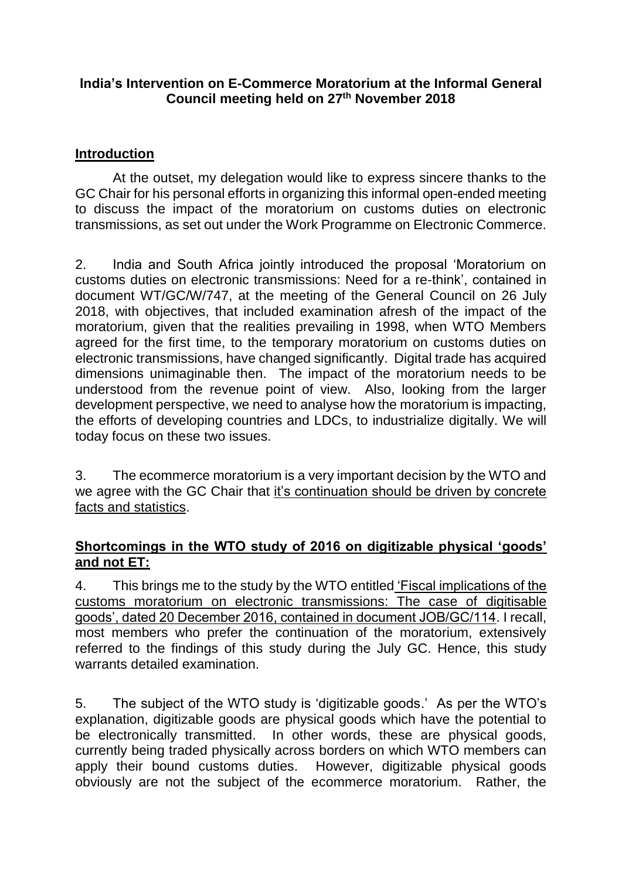### **India's Intervention on E-Commerce Moratorium at the Informal General Council meeting held on 27th November 2018**

# **Introduction**

At the outset, my delegation would like to express sincere thanks to the GC Chair for his personal efforts in organizing this informal open-ended meeting to discuss the impact of the moratorium on customs duties on electronic transmissions, as set out under the Work Programme on Electronic Commerce.

2. India and South Africa jointly introduced the proposal 'Moratorium on customs duties on electronic transmissions: Need for a re-think', contained in document WT/GC/W/747, at the meeting of the General Council on 26 July 2018, with objectives, that included examination afresh of the impact of the moratorium, given that the realities prevailing in 1998, when WTO Members agreed for the first time, to the temporary moratorium on customs duties on electronic transmissions, have changed significantly. Digital trade has acquired dimensions unimaginable then. The impact of the moratorium needs to be understood from the revenue point of view. Also, looking from the larger development perspective, we need to analyse how the moratorium is impacting, the efforts of developing countries and LDCs, to industrialize digitally. We will today focus on these two issues.

3. The ecommerce moratorium is a very important decision by the WTO and we agree with the GC Chair that it's continuation should be driven by concrete facts and statistics.

## **Shortcomings in the WTO study of 2016 on digitizable physical 'goods' and not ET:**

4. This brings me to the study by the WTO entitled 'Fiscal implications of the customs moratorium on electronic transmissions: The case of digitisable goods', dated 20 December 2016, contained in document JOB/GC/114. I recall, most members who prefer the continuation of the moratorium, extensively referred to the findings of this study during the July GC. Hence, this study warrants detailed examination.

5. The subject of the WTO study is 'digitizable goods.' As per the WTO's explanation, digitizable goods are physical goods which have the potential to be electronically transmitted. In other words, these are physical goods, currently being traded physically across borders on which WTO members can apply their bound customs duties. However, digitizable physical goods obviously are not the subject of the ecommerce moratorium. Rather, the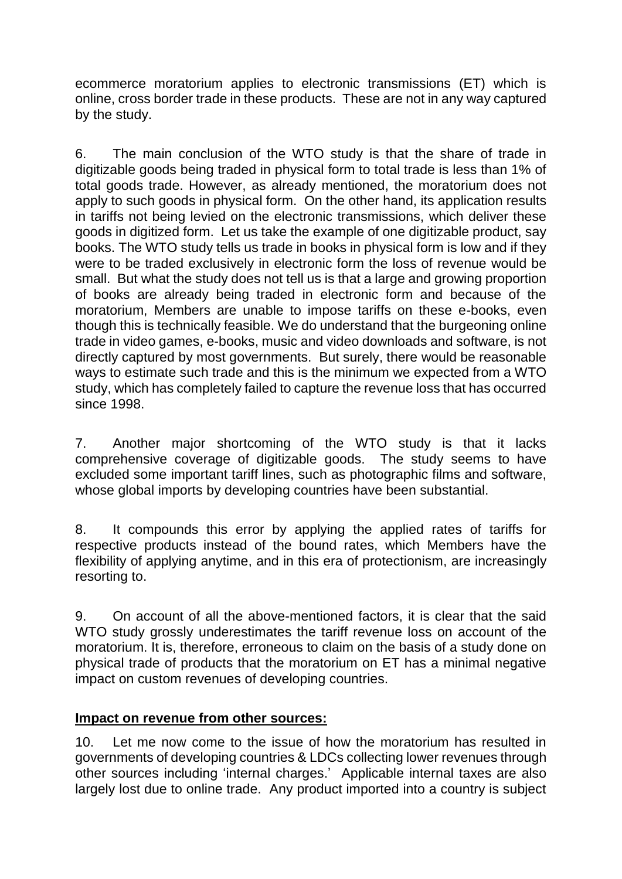ecommerce moratorium applies to electronic transmissions (ET) which is online, cross border trade in these products. These are not in any way captured by the study.

6. The main conclusion of the WTO study is that the share of trade in digitizable goods being traded in physical form to total trade is less than 1% of total goods trade. However, as already mentioned, the moratorium does not apply to such goods in physical form. On the other hand, its application results in tariffs not being levied on the electronic transmissions, which deliver these goods in digitized form. Let us take the example of one digitizable product, say books. The WTO study tells us trade in books in physical form is low and if they were to be traded exclusively in electronic form the loss of revenue would be small. But what the study does not tell us is that a large and growing proportion of books are already being traded in electronic form and because of the moratorium, Members are unable to impose tariffs on these e-books, even though this is technically feasible. We do understand that the burgeoning online trade in video games, e-books, music and video downloads and software, is not directly captured by most governments. But surely, there would be reasonable ways to estimate such trade and this is the minimum we expected from a WTO study, which has completely failed to capture the revenue loss that has occurred since 1998.

7. Another major shortcoming of the WTO study is that it lacks comprehensive coverage of digitizable goods. The study seems to have excluded some important tariff lines, such as photographic films and software, whose global imports by developing countries have been substantial.

8. It compounds this error by applying the applied rates of tariffs for respective products instead of the bound rates, which Members have the flexibility of applying anytime, and in this era of protectionism, are increasingly resorting to.

9. On account of all the above-mentioned factors, it is clear that the said WTO study grossly underestimates the tariff revenue loss on account of the moratorium. It is, therefore, erroneous to claim on the basis of a study done on physical trade of products that the moratorium on ET has a minimal negative impact on custom revenues of developing countries.

## **Impact on revenue from other sources:**

10. Let me now come to the issue of how the moratorium has resulted in governments of developing countries & LDCs collecting lower revenues through other sources including 'internal charges.' Applicable internal taxes are also largely lost due to online trade. Any product imported into a country is subject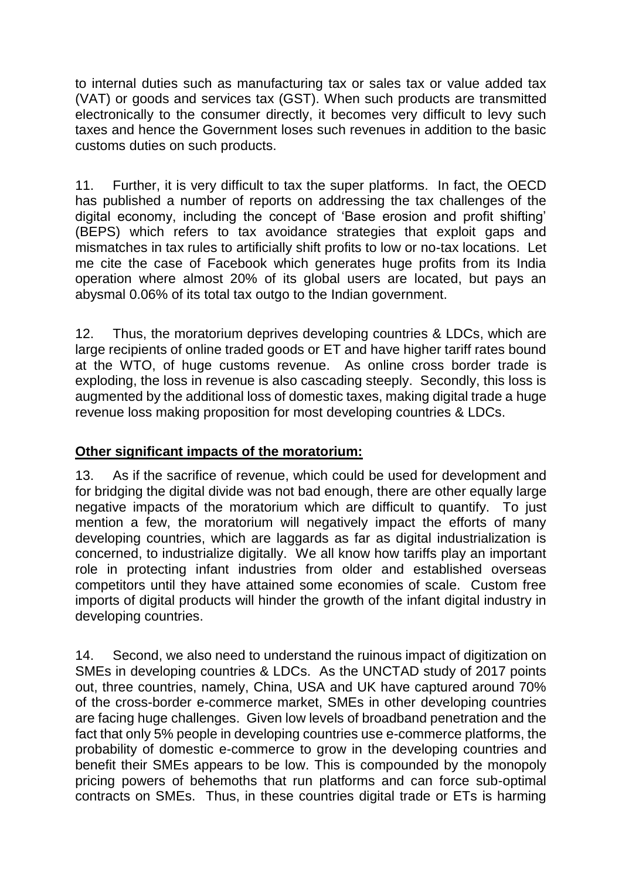to internal duties such as manufacturing tax or sales tax or value added tax (VAT) or goods and services tax (GST). When such products are transmitted electronically to the consumer directly, it becomes very difficult to levy such taxes and hence the Government loses such revenues in addition to the basic customs duties on such products.

11. Further, it is very difficult to tax the super platforms. In fact, the OECD has published a number of reports on addressing the tax challenges of the digital economy, including the concept of 'Base erosion and profit shifting' (BEPS) which refers to tax avoidance strategies that exploit gaps and mismatches in tax rules to artificially shift profits to low or no-tax locations. Let me cite the case of Facebook which generates huge profits from its India operation where almost 20% of its global users are located, but pays an abysmal 0.06% of its total tax outgo to the Indian government.

12. Thus, the moratorium deprives developing countries & LDCs, which are large recipients of online traded goods or ET and have higher tariff rates bound at the WTO, of huge customs revenue. As online cross border trade is exploding, the loss in revenue is also cascading steeply. Secondly, this loss is augmented by the additional loss of domestic taxes, making digital trade a huge revenue loss making proposition for most developing countries & LDCs.

## **Other significant impacts of the moratorium:**

13. As if the sacrifice of revenue, which could be used for development and for bridging the digital divide was not bad enough, there are other equally large negative impacts of the moratorium which are difficult to quantify. To just mention a few, the moratorium will negatively impact the efforts of many developing countries, which are laggards as far as digital industrialization is concerned, to industrialize digitally. We all know how tariffs play an important role in protecting infant industries from older and established overseas competitors until they have attained some economies of scale. Custom free imports of digital products will hinder the growth of the infant digital industry in developing countries.

14. Second, we also need to understand the ruinous impact of digitization on SMEs in developing countries & LDCs. As the UNCTAD study of 2017 points out, three countries, namely, China, USA and UK have captured around 70% of the cross-border e-commerce market, SMEs in other developing countries are facing huge challenges. Given low levels of broadband penetration and the fact that only 5% people in developing countries use e-commerce platforms, the probability of domestic e-commerce to grow in the developing countries and benefit their SMEs appears to be low. This is compounded by the monopoly pricing powers of behemoths that run platforms and can force sub-optimal contracts on SMEs. Thus, in these countries digital trade or ETs is harming